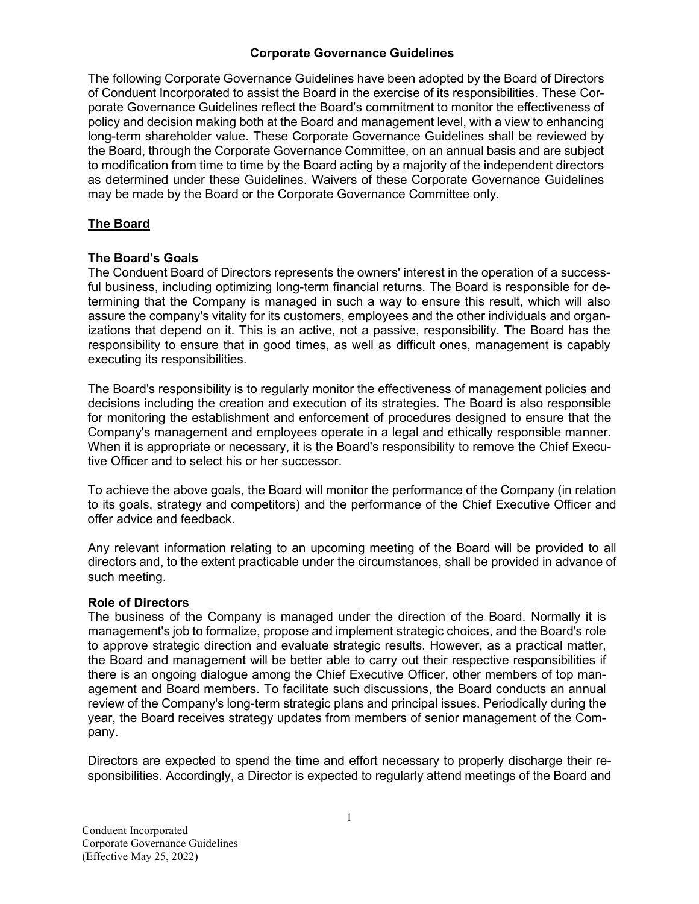### **Corporate Governance Guidelines**

The following Corporate Governance Guidelines have been adopted by the Board of Directors of Conduent Incorporated to assist the Board in the exercise of its responsibilities. These Corporate Governance Guidelines reflect the Board's commitment to monitor the effectiveness of policy and decision making both at the Board and management level, with a view to enhancing long-term shareholder value. These Corporate Governance Guidelines shall be reviewed by the Board, through the Corporate Governance Committee, on an annual basis and are subject to modification from time to time by the Board acting by a majority of the independent directors as determined under these Guidelines. Waivers of these Corporate Governance Guidelines may be made by the Board or the Corporate Governance Committee only.

### **The Board**

### **The Board's Goals**

The Conduent Board of Directors represents the owners' interest in the operation of a successful business, including optimizing long-term financial returns. The Board is responsible for determining that the Company is managed in such a way to ensure this result, which will also assure the company's vitality for its customers, employees and the other individuals and organizations that depend on it. This is an active, not a passive, responsibility. The Board has the responsibility to ensure that in good times, as well as difficult ones, management is capably executing its responsibilities.

The Board's responsibility is to regularly monitor the effectiveness of management policies and decisions including the creation and execution of its strategies. The Board is also responsible for monitoring the establishment and enforcement of procedures designed to ensure that the Company's management and employees operate in a legal and ethically responsible manner. When it is appropriate or necessary, it is the Board's responsibility to remove the Chief Executive Officer and to select his or her successor.

To achieve the above goals, the Board will monitor the performance of the Company (in relation to its goals, strategy and competitors) and the performance of the Chief Executive Officer and offer advice and feedback.

Any relevant information relating to an upcoming meeting of the Board will be provided to all directors and, to the extent practicable under the circumstances, shall be provided in advance of such meeting.

### **Role of Directors**

The business of the Company is managed under the direction of the Board. Normally it is management's job to formalize, propose and implement strategic choices, and the Board's role to approve strategic direction and evaluate strategic results. However, as a practical matter, the Board and management will be better able to carry out their respective responsibilities if there is an ongoing dialogue among the Chief Executive Officer, other members of top management and Board members. To facilitate such discussions, the Board conducts an annual review of the Company's long-term strategic plans and principal issues. Periodically during the year, the Board receives strategy updates from members of senior management of the Company.

Directors are expected to spend the time and effort necessary to properly discharge their responsibilities. Accordingly, a Director is expected to regularly attend meetings of the Board and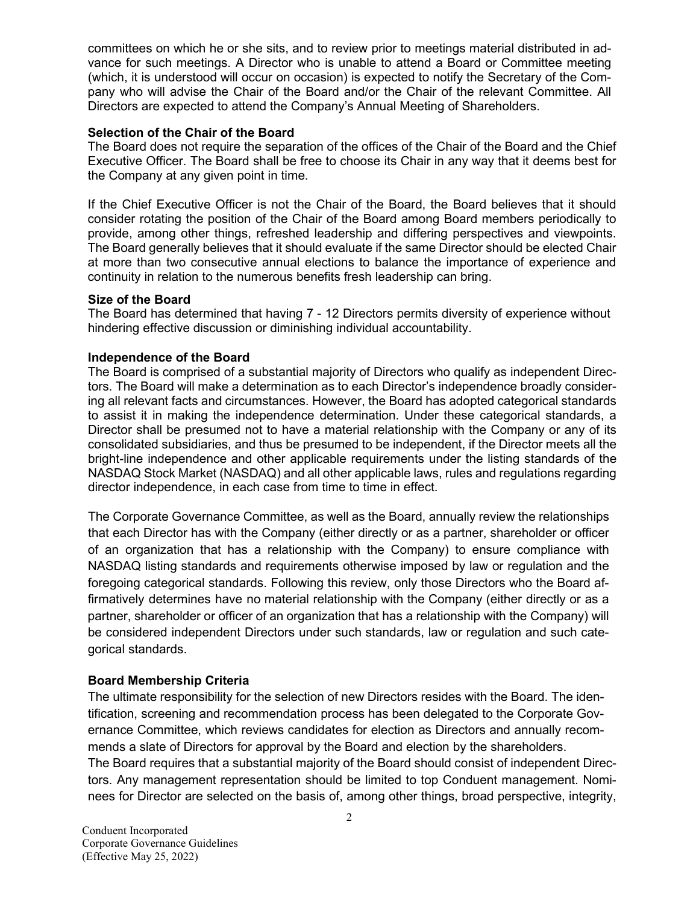committees on which he or she sits, and to review prior to meetings material distributed in advance for such meetings. A Director who is unable to attend a Board or Committee meeting (which, it is understood will occur on occasion) is expected to notify the Secretary of the Company who will advise the Chair of the Board and/or the Chair of the relevant Committee. All Directors are expected to attend the Company's Annual Meeting of Shareholders.

### **Selection of the Chair of the Board**

The Board does not require the separation of the offices of the Chair of the Board and the Chief Executive Officer. The Board shall be free to choose its Chair in any way that it deems best for the Company at any given point in time.

If the Chief Executive Officer is not the Chair of the Board, the Board believes that it should consider rotating the position of the Chair of the Board among Board members periodically to provide, among other things, refreshed leadership and differing perspectives and viewpoints. The Board generally believes that it should evaluate if the same Director should be elected Chair at more than two consecutive annual elections to balance the importance of experience and continuity in relation to the numerous benefits fresh leadership can bring.

#### **Size of the Board**

The Board has determined that having 7 - 12 Directors permits diversity of experience without hindering effective discussion or diminishing individual accountability.

#### **Independence of the Board**

The Board is comprised of a substantial majority of Directors who qualify as independent Directors. The Board will make a determination as to each Director's independence broadly considering all relevant facts and circumstances. However, the Board has adopted categorical standards to assist it in making the independence determination. Under these categorical standards, a Director shall be presumed not to have a material relationship with the Company or any of its consolidated subsidiaries, and thus be presumed to be independent, if the Director meets all the bright-line independence and other applicable requirements under the listing standards of the NASDAQ Stock Market (NASDAQ) and all other applicable laws, rules and regulations regarding director independence, in each case from time to time in effect.

The Corporate Governance Committee, as well as the Board, annually review the relationships that each Director has with the Company (either directly or as a partner, shareholder or officer of an organization that has a relationship with the Company) to ensure compliance with NASDAQ listing standards and requirements otherwise imposed by law or regulation and the foregoing categorical standards. Following this review, only those Directors who the Board affirmatively determines have no material relationship with the Company (either directly or as a partner, shareholder or officer of an organization that has a relationship with the Company) will be considered independent Directors under such standards, law or regulation and such categorical standards.

### **Board Membership Criteria**

The ultimate responsibility for the selection of new Directors resides with the Board. The identification, screening and recommendation process has been delegated to the Corporate Governance Committee, which reviews candidates for election as Directors and annually recommends a slate of Directors for approval by the Board and election by the shareholders. The Board requires that a substantial majority of the Board should consist of independent Directors. Any management representation should be limited to top Conduent management. Nominees for Director are selected on the basis of, among other things, broad perspective, integrity,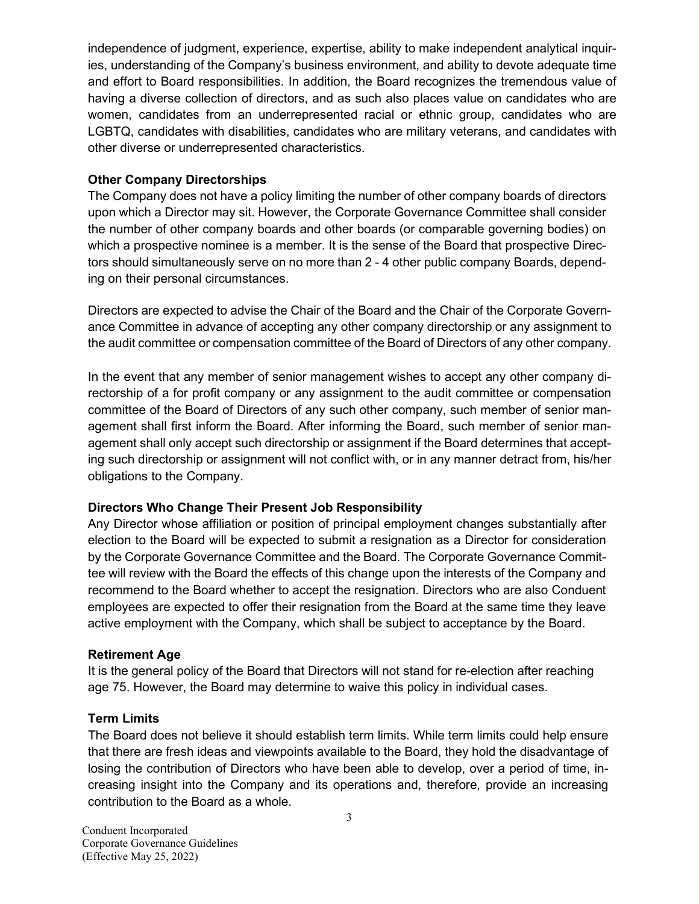independence of judgment, experience, expertise, ability to make independent analytical inquiries, understanding of the Company's business environment, and ability to devote adequate time and effort to Board responsibilities. In addition, the Board recognizes the tremendous value of having a diverse collection of directors, and as such also places value on candidates who are women, candidates from an underrepresented racial or ethnic group, candidates who are LGBTQ, candidates with disabilities, candidates who are military veterans, and candidates with other diverse or underrepresented characteristics.

### **Other Company Directorships**

The Company does not have a policy limiting the number of other company boards of directors upon which a Director may sit. However, the Corporate Governance Committee shall consider the number of other company boards and other boards (or comparable governing bodies) on which a prospective nominee is a member. It is the sense of the Board that prospective Directors should simultaneously serve on no more than 2 - 4 other public company Boards, depending on their personal circumstances.

Directors are expected to advise the Chair of the Board and the Chair of the Corporate Governance Committee in advance of accepting any other company directorship or any assignment to the audit committee or compensation committee of the Board of Directors of any other company.

In the event that any member of senior management wishes to accept any other company directorship of a for profit company or any assignment to the audit committee or compensation committee of the Board of Directors of any such other company, such member of senior management shall first inform the Board. After informing the Board, such member of senior management shall only accept such directorship or assignment if the Board determines that accepting such directorship or assignment will not conflict with, or in any manner detract from, his/her obligations to the Company.

## **Directors Who Change Their Present Job Responsibility**

Any Director whose affiliation or position of principal employment changes substantially after election to the Board will be expected to submit a resignation as a Director for consideration by the Corporate Governance Committee and the Board. The Corporate Governance Committee will review with the Board the effects of this change upon the interests of the Company and recommend to the Board whether to accept the resignation. Directors who are also Conduent employees are expected to offer their resignation from the Board at the same time they leave active employment with the Company, which shall be subject to acceptance by the Board.

## **Retirement Age**

It is the general policy of the Board that Directors will not stand for re-election after reaching age 75. However, the Board may determine to waive this policy in individual cases.

### **Term Limits**

The Board does not believe it should establish term limits. While term limits could help ensure that there are fresh ideas and viewpoints available to the Board, they hold the disadvantage of losing the contribution of Directors who have been able to develop, over a period of time, increasing insight into the Company and its operations and, therefore, provide an increasing contribution to the Board as a whole.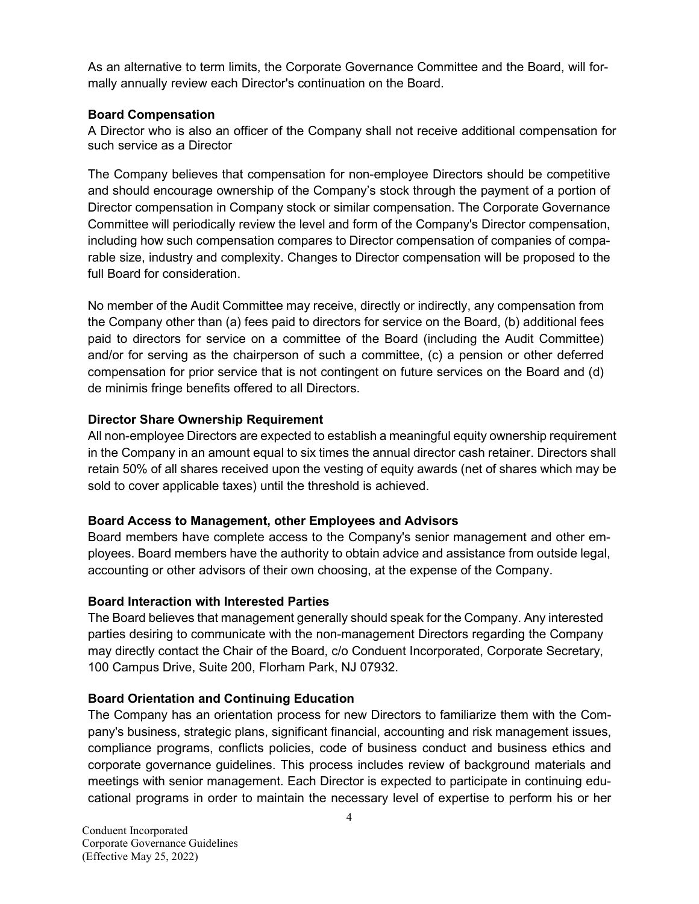As an alternative to term limits, the Corporate Governance Committee and the Board, will formally annually review each Director's continuation on the Board.

### **Board Compensation**

A Director who is also an officer of the Company shall not receive additional compensation for such service as a Director

The Company believes that compensation for non-employee Directors should be competitive and should encourage ownership of the Company's stock through the payment of a portion of Director compensation in Company stock or similar compensation. The Corporate Governance Committee will periodically review the level and form of the Company's Director compensation, including how such compensation compares to Director compensation of companies of comparable size, industry and complexity. Changes to Director compensation will be proposed to the full Board for consideration.

No member of the Audit Committee may receive, directly or indirectly, any compensation from the Company other than (a) fees paid to directors for service on the Board, (b) additional fees paid to directors for service on a committee of the Board (including the Audit Committee) and/or for serving as the chairperson of such a committee, (c) a pension or other deferred compensation for prior service that is not contingent on future services on the Board and (d) de minimis fringe benefits offered to all Directors.

## **Director Share Ownership Requirement**

All non-employee Directors are expected to establish a meaningful equity ownership requirement in the Company in an amount equal to six times the annual director cash retainer. Directors shall retain 50% of all shares received upon the vesting of equity awards (net of shares which may be sold to cover applicable taxes) until the threshold is achieved.

## **Board Access to Management, other Employees and Advisors**

Board members have complete access to the Company's senior management and other employees. Board members have the authority to obtain advice and assistance from outside legal, accounting or other advisors of their own choosing, at the expense of the Company.

## **Board Interaction with Interested Parties**

The Board believes that management generally should speak for the Company. Any interested parties desiring to communicate with the non-management Directors regarding the Company may directly contact the Chair of the Board, c/o Conduent Incorporated, Corporate Secretary, 100 Campus Drive, Suite 200, Florham Park, NJ 07932.

## **Board Orientation and Continuing Education**

The Company has an orientation process for new Directors to familiarize them with the Company's business, strategic plans, significant financial, accounting and risk management issues, compliance programs, conflicts policies, code of business conduct and business ethics and corporate governance guidelines. This process includes review of background materials and meetings with senior management. Each Director is expected to participate in continuing educational programs in order to maintain the necessary level of expertise to perform his or her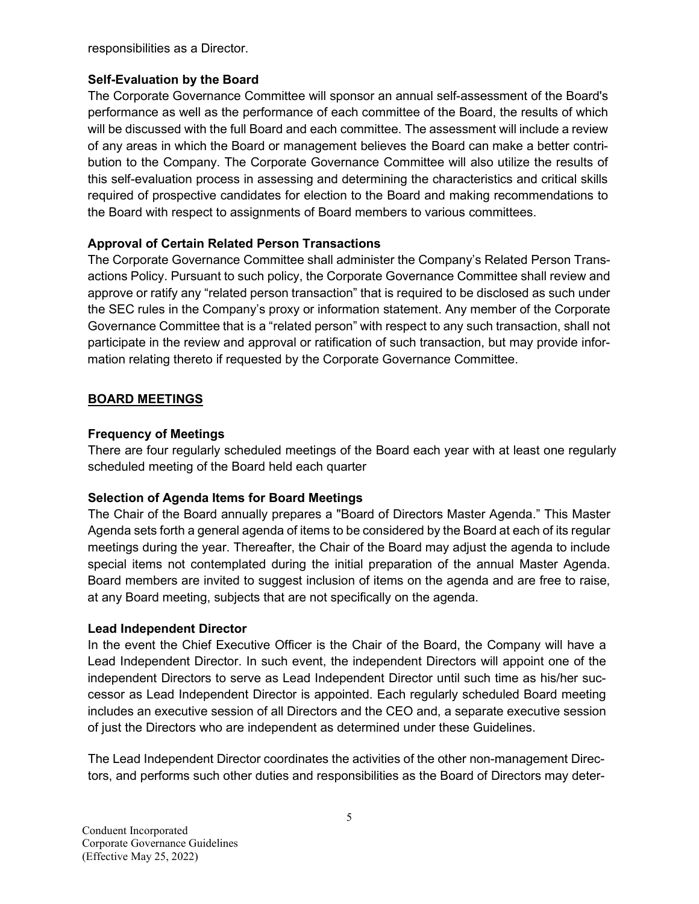responsibilities as a Director.

### **Self-Evaluation by the Board**

The Corporate Governance Committee will sponsor an annual self-assessment of the Board's performance as well as the performance of each committee of the Board, the results of which will be discussed with the full Board and each committee. The assessment will include a review of any areas in which the Board or management believes the Board can make a better contribution to the Company. The Corporate Governance Committee will also utilize the results of this self-evaluation process in assessing and determining the characteristics and critical skills required of prospective candidates for election to the Board and making recommendations to the Board with respect to assignments of Board members to various committees.

# **Approval of Certain Related Person Transactions**

The Corporate Governance Committee shall administer the Company's Related Person Transactions Policy. Pursuant to such policy, the Corporate Governance Committee shall review and approve or ratify any "related person transaction" that is required to be disclosed as such under the SEC rules in the Company's proxy or information statement. Any member of the Corporate Governance Committee that is a "related person" with respect to any such transaction, shall not participate in the review and approval or ratification of such transaction, but may provide information relating thereto if requested by the Corporate Governance Committee.

# **BOARD MEETINGS**

## **Frequency of Meetings**

There are four regularly scheduled meetings of the Board each year with at least one regularly scheduled meeting of the Board held each quarter

## **Selection of Agenda Items for Board Meetings**

The Chair of the Board annually prepares a "Board of Directors Master Agenda." This Master Agenda sets forth a general agenda of items to be considered by the Board at each of its regular meetings during the year. Thereafter, the Chair of the Board may adjust the agenda to include special items not contemplated during the initial preparation of the annual Master Agenda. Board members are invited to suggest inclusion of items on the agenda and are free to raise, at any Board meeting, subjects that are not specifically on the agenda.

## **Lead Independent Director**

In the event the Chief Executive Officer is the Chair of the Board, the Company will have a Lead Independent Director. In such event, the independent Directors will appoint one of the independent Directors to serve as Lead Independent Director until such time as his/her successor as Lead Independent Director is appointed. Each regularly scheduled Board meeting includes an executive session of all Directors and the CEO and, a separate executive session of just the Directors who are independent as determined under these Guidelines.

The Lead Independent Director coordinates the activities of the other non-management Directors, and performs such other duties and responsibilities as the Board of Directors may deter-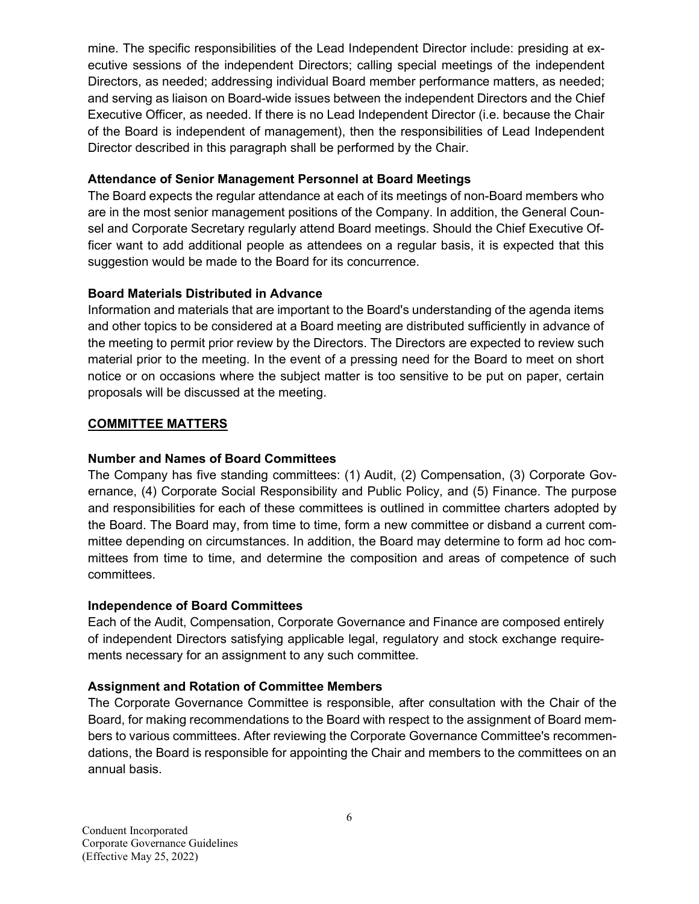mine. The specific responsibilities of the Lead Independent Director include: presiding at executive sessions of the independent Directors; calling special meetings of the independent Directors, as needed; addressing individual Board member performance matters, as needed; and serving as liaison on Board-wide issues between the independent Directors and the Chief Executive Officer, as needed. If there is no Lead Independent Director (i.e. because the Chair of the Board is independent of management), then the responsibilities of Lead Independent Director described in this paragraph shall be performed by the Chair.

## **Attendance of Senior Management Personnel at Board Meetings**

The Board expects the regular attendance at each of its meetings of non-Board members who are in the most senior management positions of the Company. In addition, the General Counsel and Corporate Secretary regularly attend Board meetings. Should the Chief Executive Officer want to add additional people as attendees on a regular basis, it is expected that this suggestion would be made to the Board for its concurrence.

# **Board Materials Distributed in Advance**

Information and materials that are important to the Board's understanding of the agenda items and other topics to be considered at a Board meeting are distributed sufficiently in advance of the meeting to permit prior review by the Directors. The Directors are expected to review such material prior to the meeting. In the event of a pressing need for the Board to meet on short notice or on occasions where the subject matter is too sensitive to be put on paper, certain proposals will be discussed at the meeting.

# **COMMITTEE MATTERS**

## **Number and Names of Board Committees**

The Company has five standing committees: (1) Audit, (2) Compensation, (3) Corporate Governance, (4) Corporate Social Responsibility and Public Policy, and (5) Finance. The purpose and responsibilities for each of these committees is outlined in committee charters adopted by the Board. The Board may, from time to time, form a new committee or disband a current committee depending on circumstances. In addition, the Board may determine to form ad hoc committees from time to time, and determine the composition and areas of competence of such committees.

## **Independence of Board Committees**

Each of the Audit, Compensation, Corporate Governance and Finance are composed entirely of independent Directors satisfying applicable legal, regulatory and stock exchange requirements necessary for an assignment to any such committee.

## **Assignment and Rotation of Committee Members**

The Corporate Governance Committee is responsible, after consultation with the Chair of the Board, for making recommendations to the Board with respect to the assignment of Board members to various committees. After reviewing the Corporate Governance Committee's recommendations, the Board is responsible for appointing the Chair and members to the committees on an annual basis.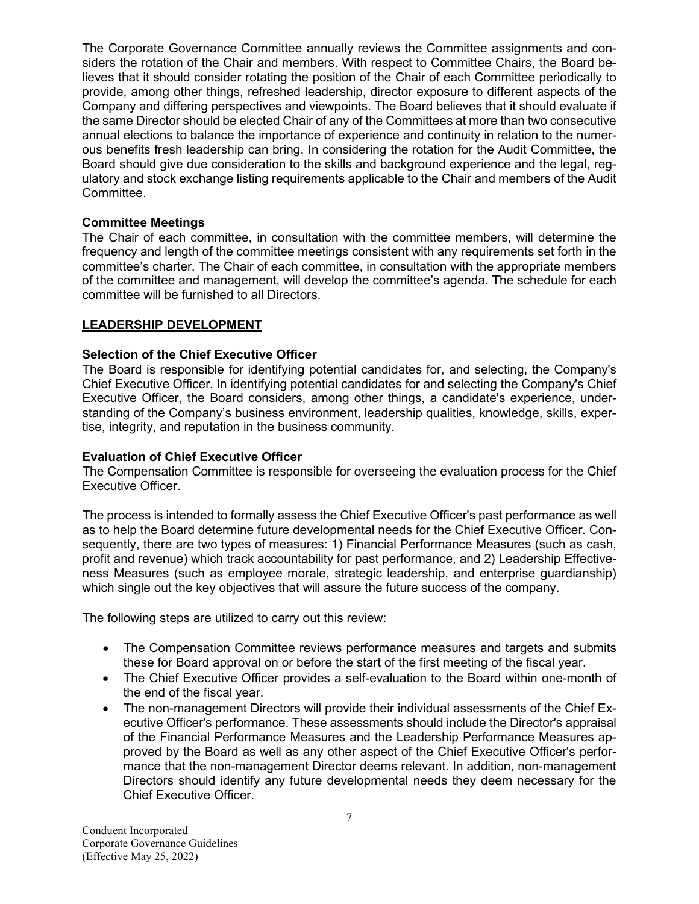The Corporate Governance Committee annually reviews the Committee assignments and considers the rotation of the Chair and members. With respect to Committee Chairs, the Board believes that it should consider rotating the position of the Chair of each Committee periodically to provide, among other things, refreshed leadership, director exposure to different aspects of the Company and differing perspectives and viewpoints. The Board believes that it should evaluate if the same Director should be elected Chair of any of the Committees at more than two consecutive annual elections to balance the importance of experience and continuity in relation to the numerous benefits fresh leadership can bring. In considering the rotation for the Audit Committee, the Board should give due consideration to the skills and background experience and the legal, regulatory and stock exchange listing requirements applicable to the Chair and members of the Audit Committee.

### **Committee Meetings**

The Chair of each committee, in consultation with the committee members, will determine the frequency and length of the committee meetings consistent with any requirements set forth in the committee's charter. The Chair of each committee, in consultation with the appropriate members of the committee and management, will develop the committee's agenda. The schedule for each committee will be furnished to all Directors.

## **LEADERSHIP DEVELOPMENT**

### **Selection of the Chief Executive Officer**

The Board is responsible for identifying potential candidates for, and selecting, the Company's Chief Executive Officer. In identifying potential candidates for and selecting the Company's Chief Executive Officer, the Board considers, among other things, a candidate's experience, understanding of the Company's business environment, leadership qualities, knowledge, skills, expertise, integrity, and reputation in the business community.

### **Evaluation of Chief Executive Officer**

The Compensation Committee is responsible for overseeing the evaluation process for the Chief Executive Officer.

The process is intended to formally assess the Chief Executive Officer's past performance as well as to help the Board determine future developmental needs for the Chief Executive Officer. Consequently, there are two types of measures: 1) Financial Performance Measures (such as cash, profit and revenue) which track accountability for past performance, and 2) Leadership Effectiveness Measures (such as employee morale, strategic leadership, and enterprise guardianship) which single out the key objectives that will assure the future success of the company.

The following steps are utilized to carry out this review:

- The Compensation Committee reviews performance measures and targets and submits these for Board approval on or before the start of the first meeting of the fiscal year.
- The Chief Executive Officer provides a self-evaluation to the Board within one-month of the end of the fiscal year.
- The non-management Directors will provide their individual assessments of the Chief Executive Officer's performance. These assessments should include the Director's appraisal of the Financial Performance Measures and the Leadership Performance Measures approved by the Board as well as any other aspect of the Chief Executive Officer's performance that the non-management Director deems relevant. In addition, non-management Directors should identify any future developmental needs they deem necessary for the Chief Executive Officer.